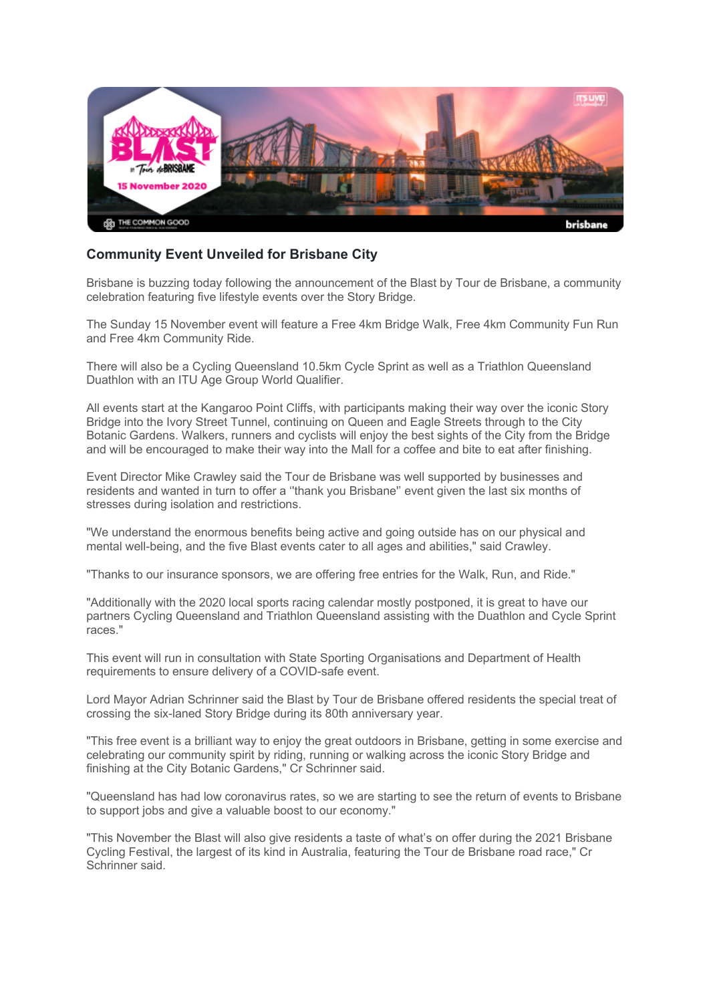

## **Community Event Unveiled for Brisbane City**

Brisbane is buzzing today following the announcement of the Blast by Tour de Brisbane, a community celebration featuring five lifestyle events over the Story Bridge.

The Sunday 15 November event will feature a Free 4km Bridge Walk, Free 4km Community Fun Run and Free 4km Community Ride.

There will also be a Cycling Queensland 10.5km Cycle Sprint as well as a Triathlon Queensland Duathlon with an ITU Age Group World Qualifier.

All events start at the Kangaroo Point Cliffs, with participants making their way over the iconic Story Bridge into the Ivory Street Tunnel, continuing on Queen and Eagle Streets through to the City Botanic Gardens. Walkers, runners and cyclists will enjoy the best sights of the City from the Bridge and will be encouraged to make their way into the Mall for a coffee and bite to eat after finishing.

Event Director Mike Crawley said the Tour de Brisbane was well supported by businesses and residents and wanted in turn to offer a ''thank you Brisbane'' event given the last six months of stresses during isolation and restrictions.

"We understand the enormous benefits being active and going outside has on our physical and mental well-being, and the five Blast events cater to all ages and abilities," said Crawley.

"Thanks to our insurance sponsors, we are offering free entries for the Walk, Run, and Ride."

"Additionally with the 2020 local sports racing calendar mostly postponed, it is great to have our partners Cycling Queensland and Triathlon Queensland assisting with the Duathlon and Cycle Sprint races."

This event will run in consultation with State Sporting Organisations and Department of Health requirements to ensure delivery of a COVID-safe event.

Lord Mayor Adrian Schrinner said the Blast by Tour de Brisbane offered residents the special treat of crossing the six-laned Story Bridge during its 80th anniversary year.

"This free event is a brilliant way to enjoy the great outdoors in Brisbane, getting in some exercise and celebrating our community spirit by riding, running or walking across the iconic Story Bridge and finishing at the City Botanic Gardens," Cr Schrinner said.

"Queensland has had low coronavirus rates, so we are starting to see the return of events to Brisbane to support jobs and give a valuable boost to our economy."

"This November the Blast will also give residents a taste of what's on offer during the 2021 Brisbane Cycling Festival, the largest of its kind in Australia, featuring the Tour de Brisbane road race," Cr Schrinner said.